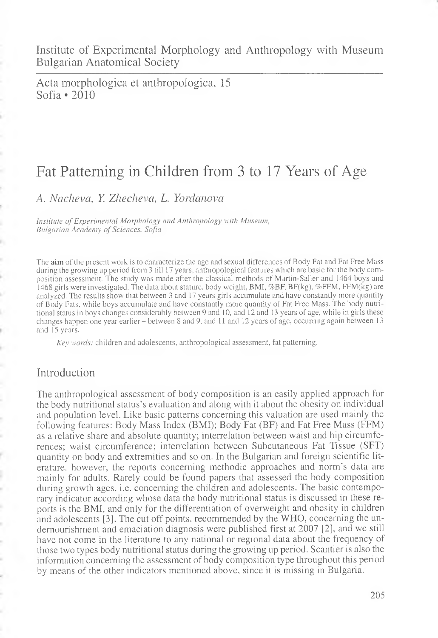Institute of Experimental Morphology and Anthropology with Museum Bulgarian Anatomical Society

Acta morphologica et anthropologica, 15 Sofia \*2010

# Fat Patterning in Children from 3 to 17 Years of Age

A. *Nacheva, Y. Zhecheva, L. Yordanova*

*Institute of Experimental Morphology and Anthropology with Museum, Bulgarian Academy of Sciences, Sofia*

The aim of the present work is to characterize the age and sexual differences of Body Fat and Fat Free Mass during the growing up period from 3 till 17 years, anthropological features which are basic for the body composition assessment. The study was made after the classical methods of Martin-Sailer and 1464 boys and 1468 girls were investigated. The data about stature, body weight, BMI, %BF, BF(kg), %FFM, FFM(kg) are analyzed. The results show that between 3 and 17 years girls accumulate and have constantly more quantity of Body Fats, while boys accumulate and have constantly more quantity of Fat Free Mass. The body nutritional status in boys changes considerably between 9 and 10, and 12 and 13 years of age, while in girls these changes happen one year earlier - between 8 and 9, and 11 and 12 years of age, occurring again between 13 and 15 years.

*Key words:* children and adolescents, anthropological assessment, fat patterning.

## Introduction

k

ś

The anthropologica] assessment of body composition is an easily applied approach for the body nutritional status's evaluation and along with it about the obesity on individual and population level. Like basic patterns concerning this valuation are used mainly the following features: Body Mass Index (BMI); Body Fat (BF) and Fat Free Mass (FFM) as a relative share and absolute quantity; interrelation between waist and hip circumferences; waist circumference; interrelation between Subcutaneous Fat Tissue (SFT) quantity on body and extremities and so on. In the Bulgarian and foreign scientific literature, however, the reports concerning methodic approaches and norm's data are mainly for adults. Rarely could be found papers that assessed the body composition during growth ages, i.e. concerning the children and adolescents. The basic contemporary indicator according whose data the body nutritional status is discussed in these reports is the BMI, and only for the differentiation of overweight and obesity in children and adolescents [3]. The cut off points, recommended by the WHO, concerning the undernourishment and emaciation diagnosis were published first at 2007 [2], and we still have not come in the literature to any national or regional data about the frequency of those two types body nutritional status during the growing up period. Scantier is also the information concerning the assessment of body composition type throughout this period by means of the other indicators mentioned above, since it is missing in Bulgaria.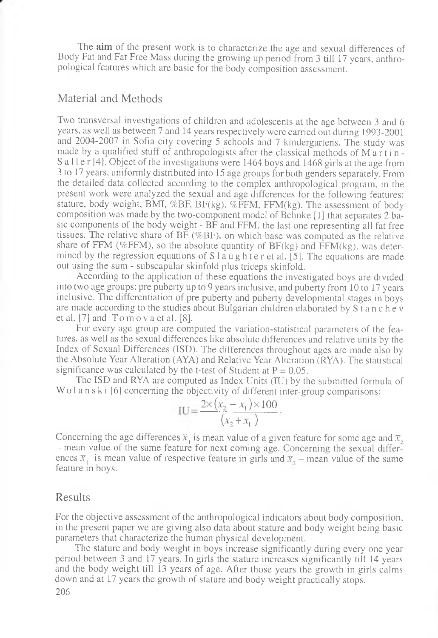The aim of the present work is to characterize the age and sexual differences of Body Fat and Fat Free Mass during the growing up period from 3 till 17 years, anthropological features which are basic for the body composition assessment.

#### Material and Methods

Two transversal investigations of children and adolescents at the age between 3 and 6 years, as well as between 7 and 14 years respectively were carried out during 1993-2001 and 2004-2007 in Sofia city covering 5 schools and 7 kindergartens. The study was made by a qualified stuff of anthropologists after the classical methods of M a r t i n -S a l l e r [4]. Object of the investigations were 1464 boys and 1468 girls at the age from 3 to 17 years, uniformly distributed into 15 age groups for both genders separately. From the detailed data collected according to the complex anthropological program, in the present work were analyzed the sexual and age differences for the following features: stature, body weight, BMI, %BF, BF(kg), %FFM, FFM(kg). The assessment of body composition was made by the two-component model of Behnke [1] that separates 2 basic components of the body weight - BF and FFM, the last one representing all fat free tissues. The relative share of BF (%BF), on which base was computed as the relative share of FFM (%FFM), so the absolute quantity of  $BF(kg)$  and  $FFM(kg)$ , was determined by the regression equations of  $S$  1 a u g h t e r et al. [5]. The equations are made out using the sum - subscapular skinfold plus triceps skinfold.

According to the application of these equations the investigated boys are divided into two age groups: pre puberty up to 9 years inclusive, and puberty from 10 to 17 years inclusive. The differentiation of pre puberty and puberty developmental stages in boys are made according to the studies about Bulgarian children elaborated by S t a n c h e v et al.  $[7]$  and  $T_0$  m  $\alpha$  v a et al.  $[8]$ .

For every age group are computed the variation-statistical parameters of the features, as well as the sexual differences like absolute differences and relative units by the Index of Sexual Differences (ISD). The differences throughout ages are made also by the Absolute Year Alteration (AYA) and Relative Year Alteration (RYA). The statistical significance was calculated by the t-test of Student at  $P = 0.05$ .

The ISD and RYA are computed as Index Units (IU) by the submitted formula of Wo l a n s k i [6] concerning the objectivity of different inter-group comparisons:

$$
IU = \frac{2 \times (x_2 - x_1) \times 100}{(x_2 + x_1)}
$$

Concerning the age differences  $\bar{x}_1$  is mean value of a given feature for some age and  $\bar{x}_2$ , - mean value of the same feature for next coming age. Concerning the sexual differences  $\bar{x}_1$  is mean value of respective feature in girls and  $\bar{x}_2$  – mean value of the same feature in boys.

#### Results

For the objective assessment of the anthropological indicators about body composition, in the present paper we are giving also data about stature and body weight being basic parameters that characterize the human physical development.

The stature and body weight in boys increase significantly during every one year period between 3 and 17 years. In girls the stature increases significantly till 14 years and the body weight till 13 years of age. After those years the growth in girls calms down and at 17 years the growth of stature and body weight practically stops.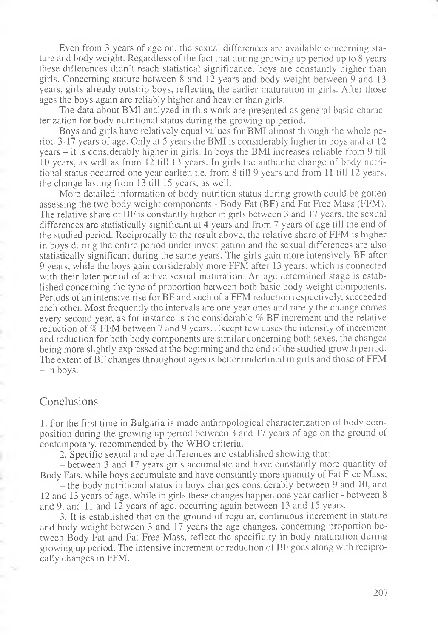Even from 3 years of age on, the sexual differences are available concerning stature and body weight. Regardless of the fact that during growing up period up to 8 years these differences didn't reach statistical significance, boys are constantly higher than girls. Concerning stature between 8 and 12 years and body weight between 9 and 13 years, girls already outstrip boys, reflecting the earlier maturation in girls. After those ages the boys again are reliably higher and heavier than girls.

The data about BMI analyzed in this work are presented as general basic characterization for body nutritional status during the growing up period.

Boys and girls have relatively equal values for BMI almost through the whole period 3-17 years of age. Only at 3 years the BMI is considerably higher in boys and at 12 years - it is considerably higher in girls. In boys the BMI increases reliable from 9 till 10 years, as well as from 12 till 13 years. In girls the authentic change of body nutritional status occurred one year earlier, i.e. from 8 till 9 years and from 11 till 12 years, the change lasting from 13 till 15 years, as well.

More detailed information of body nutrition status during growth could be gotten assessing the two body weight components - Body Fat (BF) and Fat Free Mass (FFM). The relative share of BF is constantly higher in girls between 3 and 17 years, the sexual differences are statistically significant at 4 years and from 7 years of age till the end of the studied period. Reciprocally to the result above, the relative share of FFM is higher in boys during the entire period under investigation and the sexual differences are also statistically significant during the same years. The girls gain more intensively BF after 9 years, while the boys gain considerably more FFM after 13 years, which is connected with their later period of active sexual maturation. An age determined stage is established concerning the type of proportion between both basic body weight components. Periods of an intensive rise for BF and such of a FFM reduction respectively, succeeded each other. Most frequently the intervals are one year ones and rarely the change comes every second year, as for instance is the considerable % BF increment and the relative reduction of % FFM between 7 and 9 years. Except few cases the intensity of increment and reduction for both body components are similar concerning both sexes, the changes being more slightly expressed at the beginning and the end of the studied growth period. The extent of BF changes throughout ages is better underlined in girls and those of FFM  $-$  in boys.

### Conclusions

1. For the first time in Bulgaria is made anthropological characterization of body composition during the growing up period between 3 and 17 years of age on the ground of contemporary, recommended by the WHO criteria.

2. Specific sexual and age differences are established showing that:

- between 3 and 17 years girls accumulate and have constantly more quantity of Body Fats, while boys accumulate and have constantly more quantity of Fat Free Mass;

- the body nutritional status in boys changes considerably between 9 and 10, and 12 and 13 years of age, while in girls these changes happen one year earlier - between 8 and 9, and 11 and 12 years of age, occurring again between 13 and 15 years.

3. It is established that on the ground of regular, continuous increment in stature and body weight between 3 and 17 years the age changes, concerning proportion between Body Fat and Fat Free Mass, reflect the specificity in body maturation during growing up period. The intensive increment or reduction of BF goes along with reciprocally changes in FFM.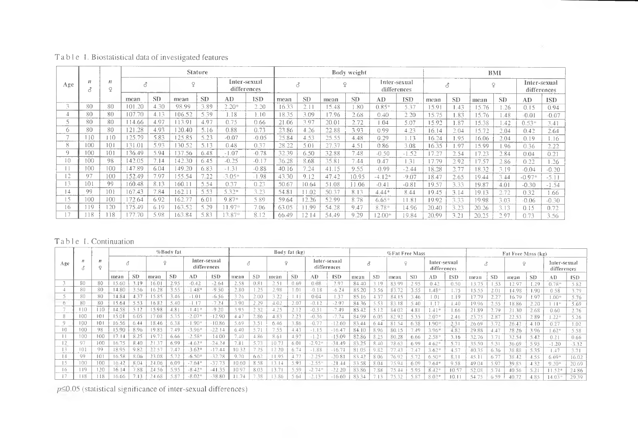|               |                      | $_{\prime}$<br>$\mathbf{Q}$ | <b>Stature</b> |           |         |                 |                             |            |       |                |        | Body weight     |                             | BMI        |       |           |       |           |                             |            |
|---------------|----------------------|-----------------------------|----------------|-----------|---------|-----------------|-----------------------------|------------|-------|----------------|--------|-----------------|-----------------------------|------------|-------|-----------|-------|-----------|-----------------------------|------------|
| Age           | $\overline{11}$<br>А |                             |                |           | $\circ$ |                 | Inter-sexual<br>differences |            | ₫     |                | $\sim$ |                 | Inter-sexual<br>differences |            | Ó     |           |       |           | Inter-sexual<br>differences |            |
|               |                      |                             | mean           | <b>SD</b> | mean    | SD <sub>3</sub> | AD.                         | <b>ISD</b> | mean  | <b>SD</b>      | теал   | SD <sub>1</sub> | AD.                         | <b>ISD</b> | mean  | <b>SD</b> | mean  | <b>SD</b> | AD.                         | <b>ISD</b> |
| $\sim$        | 80                   | 80                          | 101.20         | 4.30      | 98.99   | 3.89            | $2.20*$                     | 2.20       | 16.33 |                | 15.48  | .80             | $0.85*$                     | 5.37       | 15.91 | .43       | 15.76 | .26       | 0.15                        | 0.94       |
|               | 80                   | 80                          | 107.70         | 4.13      | 106.52  | 5.39            | 1.18                        | .10        | 18.35 | 3.09           | 17.96  | 2.68            | 0.40                        | 2.20       | 15.75 | .83       | 15.76 | .48       | $-0.01$                     | $-0.07$    |
|               | 80                   | 80                          | 14.66          | 4.97      | 13.91   | 4.97            | 0.75                        | 0.66       | 21.06 | 3.97           | 20.01  | 2.72            | .04                         | 5.07       | 15.92 | 1.87      | 15.38 | .42       | $0.53*$                     | 3.41       |
| Ω.            | 80                   | 80                          | 21.28          | 4.93      | 120.40  | 5.16            | 0.88                        | 0.73       | 23.86 | 4.26           | 22.88  | 3.93            | 0.99                        | 4.23       | 16.14 | 2.04      | 5.72  | 2.04      | 0.42                        | 2.64       |
|               | 110                  | 110                         | 25.79          | 5.83      | 125.85  | 5.23            | $-0.07$                     | $-0.05$    | 25.84 | 4.53           | 25.55  | 4.48            | 0.29                        | 1.13       | 16.24 | 1.95      | 16.06 | 2.04      | 0.19                        | 1.16       |
|               | 100                  | 101                         | 31.01          | 5.93      | 30.52   | 5.13            | 0.48                        | 0.37       | 28.22 | 5.01           | 27.37  | 4.51            | 0.86                        | 3.08       | 16.35 | .97       | 15.99 | .96       | 0.36                        | 2.22       |
| $\Omega$      | 100                  | 101                         | 136.49         | 5.94      | 37.56   | 6.48            | $-1.07$                     | $-0.78$    | 32.39 | 6.50           | 32.88  | 7.48            | $-0.50$                     | $-1.52$    | 17.27 | 2.54      |       | 2.84      | 0.04                        | 0.21       |
| 10            | 100                  | 98                          | 142.05         | 7.14      | 142.30  | 6.45            | $-0.25$                     | $-0.17$    | 36.28 | 8.68           | 35.81  | 7.44            | 0.47                        | .31        | 7.79  | 2.92      | 17.57 | 2.86      | 0.22                        | 1.26       |
|               | 100                  | 100                         | 147.89         | 6.04      | 149.20  | 6.83            | $-1.31$                     | $-0.88$    | 40.16 | 7.24           | 41.15  | 9.55            | $-0.99$                     | $-2.44$    | 18.28 | 2.77      | 18.32 | 3.19      | $-0.04$                     | $-0.20$    |
| 12            | 07                   | 100                         | 152.49         | 797       | 155.54  | 7.22            | $-3.05*$                    | $-1.98$    | 43.30 | 9.12           | 47.42  | 10.95           | $-4.12*$                    | $-9.07$    | 18.47 | 2.65      | 19.44 | 3.44      | $-0.97*$                    | $-5.11$    |
| 13            | 101                  | -99                         | 160.48         | 8.13      | 160.1   | 5.54            | 0.37                        | 0.23       | 50.67 | 10.64          | 51.08  | 11.06           | $-0.41$                     | $-0.81$    | 19.57 | 3.33      | 19.87 | 4.01      | $-0.30$                     | $-1.54$    |
| 14            | 9Q                   | 101                         | 167.43         | 7.84      | 162.1   | 5.53            | 5.32*                       | 3.23       | 54.81 | .02            | 50.37  | 8.13            | $4.44*$                     | 8.44       | 19.45 | 3.14      | 19.13 | 2.72      | 0.32                        | 1.66       |
| -5            | 100                  | 100                         | 72.64          | 6.92      | 162.77  | 6.01            | $9.87*$                     | 5.89       | 59.64 | 2.26           | 52.99  | 8.78            | $6.65*$                     | 11.81      | 19.92 | 3.33      | 19.98 | 3.03      | $-0.06$                     | $-0.30$    |
| 16            | <b>19</b>            | 120                         | 175.49         | 6.19      | 163.52  | 5.29            | $1.97*$                     | 7.06       | 63.05 | 0 <sub>c</sub> | 54.28  | 9.47            | 8.78*                       | 14.96      | 20.40 | 3.23      | 20.26 | 3.13      | 0.15                        | 0.72       |
| $\rightarrow$ | 18                   | 118                         | 77.70          | 598       | 163.84  | 5.83            | $3.87*$                     | 8.12       | 66.49 | 214            | 54.49  | 9.29            | $2.00*$                     | 19.84      | 20.99 | 3.21      | 20.25 | 2.97      | 0.73                        | 3.56       |

### Table 1. Biostatistical data of investigated features

#### Table 1. Continuation

|          | %Body fat |                                |       |           |                |           |                             | Body fat (kg) |       |      |         |           |                             | <b>%Fat Free Mass</b> |       |           |       |      |                             | Fat Free Mass (kg) |       |           |         |           |                             |            |
|----------|-----------|--------------------------------|-------|-----------|----------------|-----------|-----------------------------|---------------|-------|------|---------|-----------|-----------------------------|-----------------------|-------|-----------|-------|------|-----------------------------|--------------------|-------|-----------|---------|-----------|-----------------------------|------------|
| Age      |           | $\overline{r}$<br>σ<br>$\circ$ |       |           |                |           | Inter-sexual<br>differences |               |       |      | $\circ$ |           | Inter-sexual<br>differences |                       |       |           |       |      | Inter-sexual<br>differences |                    | Ó     |           | $\circ$ |           | Inter-sexual<br>differences |            |
|          |           |                                | mean  | <b>SD</b> | mean           | <b>SD</b> | AD                          | <b>ISD</b>    | mean  | SD   | mean    | <b>SD</b> | AD                          | <b>ISD</b>            | mean  | <b>SD</b> | mean  | SD   | АD                          | <b>ISD</b>         | плеап | <b>SE</b> | mean    | <b>SD</b> | AD                          | <b>ISD</b> |
|          | 80        | 80                             | 15.60 | 9         | 16.0           | 2.95      | $-0.42$                     | $-264$        | 2.58  | 0.81 | 2.51    | 0.69      | 0.08                        | 2.97                  | 84.40 | 19        | 83.99 | 2.95 | 0.42                        | 0.50               | 13.75 | 53        | 12.97   | .29       | $0.78*$                     | 5.82       |
|          | 80        | 80                             | 14.80 | 3.56      | 16.28          |           | $-1.48*$                    | $-9.50$       | 2.80  | 1.25 | 2.98    | 1.01      | $-0.18$                     | $-6.24$               | 85.20 | 3.56      | 83.72 | 3.55 | $.48*$                      | 1.75               | 15.55 | 2.01      | 14.98   | .90       | 0.58                        | 3.79       |
|          | 80        | 80                             | 14.84 | 4.37      | 15.85          | 3.46      | $-1.01$                     | $-6.56$       | 3.26  | 2.00 | 3.22    |           | 0.04                        | 1.37                  | 85.16 | 4.37      | 84.15 | 3.46 | 1.01                        | 1.19               | 17.79 |           | 16.79   | 97        | $00*$                       | 5.76       |
|          | 80        | 80                             | 15.64 |           | 16.82          | 5.40      | $-1.17$                     | $-7.24$       | 3.90  | 2.29 | 4.02    | 2.07      | $-0.12$                     | $-2.97$               | 84.36 | 5.53      |       | 5.40 | i. 17                       | 40                 | 19.96 | 2.55      | 18.86   | 2.20      | $\Box$                      | 5.69       |
|          | 10        | 110                            | 14.58 |           | 598            | 4.81      | $-1.41*$                    | $-9.20$       | 3.95  | 2.32 | 4.25    | 2.12      | $-0.3$                      | $-7.49$               | 85.42 | 5.12      | 84.02 | 4.81 | $.41*$                      | .66                | 21.89 |           | 21.30   | 2.68      | 0.60                        | 2.76       |
|          | 100       | 101                            | 15.01 | 6.05      | 17.08          | 5.35      | $-2.07*$                    | 12.90         | 4.47  | 2.86 | 4.83    | 2.23      | $-0.36$                     | $-7.74$               | 84.99 | 6.05      | 82.91 | 5.35 | 2.07                        | 2.46               | 23.75 |           | 22.53   | 289       | $1.22*$                     | 5.26       |
| $\Omega$ | 00        | 101                            | 16.56 | 644       | 18.46          | 6.38      | $-1.90*$                    | $-10.86$      | 5.69  | 3.5  | 6.46    | 3.86      | $-0.7$ <sup>-</sup>         | $-12.60$              | 83.44 | 6.44      | 81.54 | 6.38 | .90                         | 231                | 26.69 |           | 26.42   | 4.10      | 0.27                        | 1.02       |
|          | 100       | 98                             | 15.90 | 8.96      | 19.85          | .49       | $-3.96*$                    | $-221$        | 6.40  | 5.71 | 7.55    | 4.43      | $-1.15$                     | $-16.47$              | 84.10 | 8.96      | 80.15 | 7.49 | $3.96*$                     | 4.82               | 29.88 |           | 28 26   | 3.96      | $.62*$                      | 5.58       |
|          | 100       | 100                            | 17.14 |           | $19.7^{\circ}$ | 6.66      | $-2.58*$                    | $-1400$       | 7.40  | 4.86 | 8.61    | 4.97      | $-1.21$                     | $-15.09$              | 82.86 | 8.25      | 80.28 | 6.66 | 2.58''                      | 3.16               | 32.76 |           | 32.54   | 5.42      | 0.21                        | 0.66       |
|          | 07        | 100                            | 16.75 | 8.40      |                | 6.99      | $-4.62*$                    | $-24.24$      | 7.81  | 5.73 | 10.73   | 6.01      | $-2.92*$                    | $-31.49$              | 83.25 | 8.40      | 78.63 | 6.99 | $4.62*$                     | 5.71               | 35.50 |           | 36.69   | 595       | $-1.20$                     | $-3.32$    |
|          |           | 99                             | 18.95 | 9.82      | 22.57          | 7.47      | $-3.62*$                    | $-17.44$      | 10.32 | 7.25 |         | 6.74      | $-1.88$                     | $-16.71$              | 81.05 | 9.82      |       | 7.47 | $3.62*$                     | 4.57               | 40.35 | 0.50      | 38.88   | 5.35      | 1.47                        | 3.71       |
| 14       | QQ        | 101                            | 16.58 | 8.06      | 23.08          | 5.72      | $-6.50*$                    | $-32.78$      | 970   | 6.62 | 1.95    | $-4.77$   | $-2.25*$                    | $-20.81$              | 83.42 | 8.06      | 76.97 | 5.73 | $6.50*$                     | 8.1                | 45.11 |           | 38.42   | 4.55      | $6.69*$                     | 16.02      |
|          | 100       | 100                            | 16.42 |           | 24.06          | 6.09      | $-7.64*$                    | $-37.73$      | 1060  | 8.58 |         | 5.93      | $-2.55*$                    | $-21.44$              | 83.58 | 8.04      | 75.94 | 6.09 | $7.64*$                     | 9.58               | 49.04 | 5.97      | 39.85   | 4.32      | $9.20*$                     | 20.69      |
| 16       | 119       | 120                            | 16.14 | .88       | 24.56          | 5.95      | $-8.42*$                    | $-41.35$      | 10.97 | 8.03 | 13.7    | 5.59      | $-2.74*$                    | $-2220$               | 83.86 | 7.88      | 75.44 | 5.95 | 8.42                        | 10.57              | 52.08 |           | 40 56   |           | $11.52*$                    | 24.86      |
|          | l i 8     |                                |       |           |                |           | $-8.02*$                    | $-38.80$      | 11.74 | 7.38 |         | 564       | $-2.13*$                    | $-16.60$              | 83.3  |           |       | 5.87 | $8.02*$                     | 10.1               | 54.75 | 50        | 40.72   | 85        | 14.03                       | 29.39      |

 $p \le 0.05$  (statistical significance of inter-sexual differences)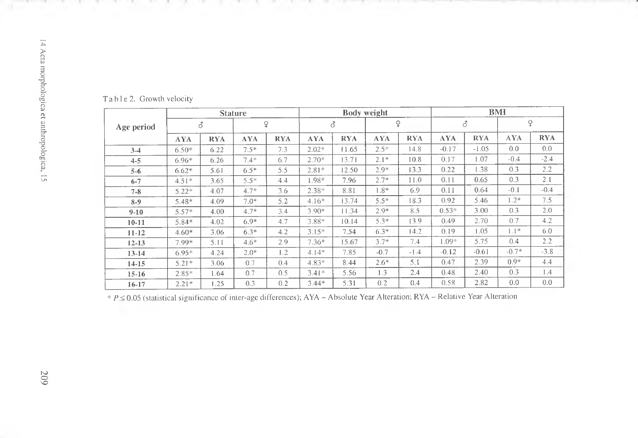|            |            |            | <b>Stature</b> |            |            |            | <b>Body weight</b> |            | <b>BMI</b> |            |            |            |  |  |
|------------|------------|------------|----------------|------------|------------|------------|--------------------|------------|------------|------------|------------|------------|--|--|
| Age period |            | ₫          | ♀              |            |            | 3          | ¥                  |            |            | ♂          | ¥          |            |  |  |
|            | <b>AYA</b> | <b>RYA</b> | <b>AYA</b>     | <b>RYA</b> | <b>AYA</b> | <b>RYA</b> | <b>AYA</b>         | <b>RYA</b> | <b>AYA</b> | <b>RYA</b> | <b>AYA</b> | <b>RYA</b> |  |  |
| $3-4$      | $6.50*$    | 6.22       | $7.5*$         | 7.3        | $2.02*$    | 11.65      | $2.5*$             | 14.8       | $-0.17$    | $-1.05$    | 0.0        | 0.0        |  |  |
| $4 - 5$    | $6.96*$    | 6.26       | $7.4*$         | 6.7        | $2.70*$    | 13.71      | $2.1*$             | 10.8       | 0.17       | 1.07       | $-0.4$     | $-2.4$     |  |  |
| $5 - 6$    | $6.62*$    | 5.61       | $6.5*$         | 5.5        | $2.81*$    | 12.50      | $2.9*$             | 13.3       | 0.22       | 1.38       | 0.3        | 2.2        |  |  |
| $6 - 7$    | $4.51*$    | 3.65       | $5.5*$         | 4.4        | $1.98*$    | 7.96       | $2.7*$             | 11.0       | 0.11       | 0.65       | 0.3        | 2.1        |  |  |
| $7 - 8$    | $5.22*$    | 4.07       | $4.7*$         | 3.6        | $2.38*$    | 8.81       | $1.8*$             | 6.9        | 0.11       | 0.64       | $-0.1$     | $-0.4$     |  |  |
| 8-9        | $5.48*$    | 4.09       | $7.0*$         | 5.2        | $4.16*$    | 13.74      | $5.5*$             | 18.3       | 0.92       | 5.46       | $1.2*$     | 7.5        |  |  |
| $9-10$     | $5.57*$    | 4.00       | $4.7*$         | 3.4        | $3.90*$    | 11.34      | $2.9*$             | 8.5        | $0.53*$    | 3.00       | 0.3        | 2.0        |  |  |
| $10-11$    | $5.84*$    | 4.02       | $6.9*$         | 4.7        | 3.88*      | 10.14      | $5.3*$             | 13.9       | 0.49       | 2.70       | 0.7        | 4.2        |  |  |
| $11 - 12$  | $4.60*$    | 3.06       | $6.3*$         | 4.2        | $3.15*$    | 7.54       | $6.3*$             | 14.2       | 0.19       | 1.05       | $1.1*$     | 6.0        |  |  |
| $12 - 13$  | 7.99*      | 5.11       | $4.6*$         | 2.9        | $7.36*$    | 15.67      | $3.7*$             | 7.4        | $1.09*$    | 5.75       | 0.4        | 2.2        |  |  |
| $13 - 14$  | $6.95*$    | 4.24       | $2.0*$         | 1.2        | $4.14*$    | 7.85       | $-0.7$             | $-1.4$     | $-0.12$    | $-0.61$    | $-0.7*$    | $-3.8$     |  |  |
| $14 - 15$  | $5.21*$    | 3.06       | 0.7            | 0.4        | $4.83*$    | 8.44       | $2.6*$             | 5.1        | 0.47       | 2.39       | $0.9*$     | 4.4        |  |  |
| $15-16$    | $2.85*$    | 1.64       | 0.7            | 0.5        | $3.41*$    | 5.56       | 1.3                | 2.4        | 0.48       | 2.40       | 0.3        | 1.4        |  |  |
| 16-17      | $2.21*$    | 1.25       | 0.3            | 0.2        | $3.44*$    | 5.31       | 0.2                | 0.4        | 0.58       | 2.82       | 0.0        | 0.0        |  |  |

**T**a b 1 e 2. Growth velocity

- 10

*\* P<* 0.05 (statistical significance of inter-age differences); AYA - Absolute Year Alteration; RYA - Relative Year Alteration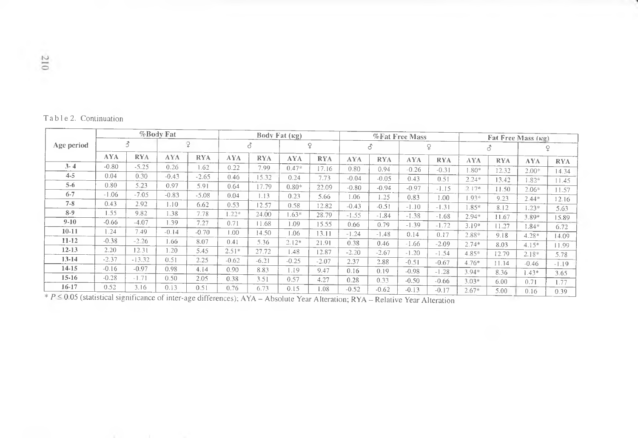| Table 2. Continuation |
|-----------------------|

|                                                                                                                                    |            |            | %Body Fat  |            |            |            | Body Fat $(\kappa g)$ |            |            |            | %Fat Free Mass |            | Fat Free Mass (Rg) |            |            |            |  |
|------------------------------------------------------------------------------------------------------------------------------------|------------|------------|------------|------------|------------|------------|-----------------------|------------|------------|------------|----------------|------------|--------------------|------------|------------|------------|--|
| Age period                                                                                                                         | 3          |            |            |            | ₫          |            | ç                     |            | 8          |            | ¥              |            | ♂                  |            |            | ç          |  |
|                                                                                                                                    | <b>AYA</b> | <b>RYA</b> | <b>AYA</b> | <b>RYA</b> | <b>AYA</b> | <b>RYA</b> | AYA.                  | <b>RYA</b> | <b>AYA</b> | <b>RYA</b> | <b>AYA</b>     | <b>RYA</b> | <b>AYA</b>         | <b>RYA</b> | <b>AYA</b> | <b>RYA</b> |  |
| $3 - 4$                                                                                                                            | $-0.80$    | $-5.25$    | 0.26       | 1.62       | 0.22       | 7.99       | $0.47*$               | 17.16      | 0.80       | 0.94       | $-0.26$        | $-0.31$    | $1.80*$            | 12.32      | $2.00*$    | 14.34      |  |
| $4 - 5$                                                                                                                            | 0.04       | 0.30       | $-0.43$    | $-2.65$    | 0.46       | 15.32      | 0.24                  | 7.73       | $-0.04$    | $-0.05$    | 0.43           | 0.51       | $2.24*$            | 13.42      |            |            |  |
| $5 - 6$                                                                                                                            | 0.80       | 5.23       | 0.97       | 5.91       | 0.64       | 17.79      | $0.80*$               | 22.09      | $-0.80$    | $-0.94$    | $-0.97$        | $-1.15$    | $2.17*$            |            | $.82*$     | 11.45      |  |
| $6 - 7$                                                                                                                            | $-1.06$    | $-7.05$    | $-0.83$    | $-5.08$    | 0.04       | 1.13       | 0.23                  | 5.66       | 1.06       | 1.25       | 0.83           | 1.00       |                    | 11.50      | $2.06*$    | 11.57      |  |
| $7 - 8$                                                                                                                            | 0.43       | 2.92       | 1.10       | 6.62       | 0.53       | 12.57      | 0.58                  | 12.82      | $-0.43$    | $-0.51$    |                |            | $.93*$             | 9.23       | $2.44*$    | 12.16      |  |
| $8-9$                                                                                                                              | 1.55       | 9.82       | 1.38       | 7.78       | $1.22*$    | 24.00      | $1.63*$               | 28.79      | $-1.55$    |            | $-1.10$        | $-1.31$    | 1.85*              | 8.12       | $1.23*$    | 5.63       |  |
| $9-10$                                                                                                                             | $-0.66$    | $-4.07$    | 1.39       | 7.27       | 0.71       | 11.68      | 1.09                  |            |            | $-1.84$    | $-1.38$        | $-1.68$    | $2.94*$            | 11.67      | $3.89*$    | 15.89      |  |
| $10 - 11$                                                                                                                          | 1.24       | 7.49       | $-0.14$    | $-0.70$    | 00.1       |            |                       | 15.55      | 0.66       | 0.79       | $-1.39$        | $-1.72$    | $3.19*$            | 11.27      | 1.84*      | 6.72       |  |
| $11-12$                                                                                                                            | $-0.38$    | $-2.26$    |            |            |            | 14.50      | 1.06                  | 13.11      | $-1.24$    | $-1.48$    | 0.14           | 0.17       | 2.88*              | 9.18       | $4.28*$    | 14.09      |  |
|                                                                                                                                    |            |            | l .66      | 8.07       | 0.41       | 5.36       | $2.12*$               | 21.91      | 0.38       | 0.46       | $-1.66$        | $-2.09$    | $2.74*$            | 8.03       | $4.15*$    | 11.99      |  |
| $12-13$                                                                                                                            | 2.20       | 12.31      | 1.20       | 5.45       | $2.51*$    | 27.72      | 1.48                  | 12.87      | $-2.20$    | $-2.67$    | $-1.20$        | $-1.54$    | $4.85*$            | 12.79      | $2.18*$    | 5.78       |  |
| $13-14$                                                                                                                            | $-2.37$    | $-13.32$   | 0.51       | 2.25       | $-0.62$    | $-6.21$    | $-0.25$               | $-2.07$    | 2.37       | 2.88       | $-0.51$        | $-0.67$    | $4.76*$            | 11.14      | $-0.46$    | $-1.19$    |  |
| 14-15                                                                                                                              | $-0.16$    | $-0.97$    | 0.98       | 4.14       | 0.90       | 8.83       | 1.19                  | 9.47       | 0.16       | 0.19       | $-0.98$        | $-1.28$    | $3.94*$            | 8.36       | $1.43*$    | 3.65       |  |
| $15-16$                                                                                                                            | $-0.28$    | $-1.71$    | 0.50       | 2.05       | 0.38       | 3.51       | 0.57                  | 4.27       | 0.28       | 0.33       | $-0.50$        | $-0.66$    | $3.03*$            | 6.00       | 0.71       | 1.77       |  |
| $16 - 17$                                                                                                                          | 0.52       | 3.16       | 0.13       | 0.51       | 0.76       | 6.73       | 0.15                  | 1.08       | $-0.52$    | $-0.62$    | $-0.13$        | $-0.17$    | $2.67*$            | 5.00       | 0.16       | 0.39       |  |
| $* P \le 0.05$ (statistical significance of inter-age differences); AYA – Absolute Year Alteration; RYA – Relative Year Alteration |            |            |            |            |            |            |                       |            |            |            |                |            |                    |            |            |            |  |